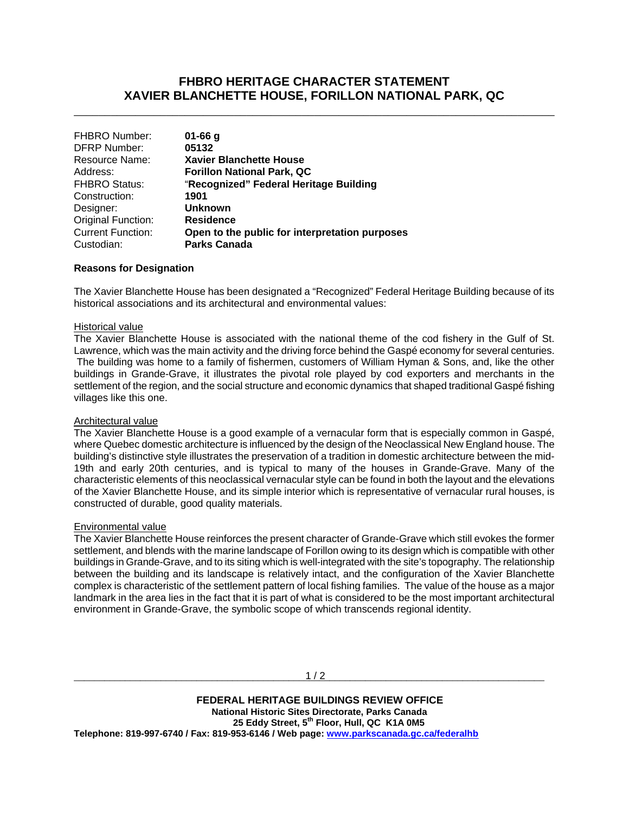# **FHBRO HERITAGE CHARACTER STATEMENT XAVIER BLANCHETTE HOUSE, FORILLON NATIONAL PARK, QC**

\_\_\_\_\_\_\_\_\_\_\_\_\_\_\_\_\_\_\_\_\_\_\_\_\_\_\_\_\_\_\_\_\_\_\_\_\_\_\_\_\_\_\_\_\_\_\_\_\_\_\_\_\_\_\_\_\_\_\_\_\_\_\_\_\_\_\_\_\_\_\_\_\_\_\_\_\_\_

| <b>FHBRO Number:</b>     | $01 - 66$ g                                    |
|--------------------------|------------------------------------------------|
| <b>DFRP Number:</b>      | 05132                                          |
| Resource Name:           | <b>Xavier Blanchette House</b>                 |
| Address:                 | <b>Forillon National Park, QC</b>              |
| <b>FHBRO Status:</b>     | "Recognized" Federal Heritage Building         |
| Construction:            | 1901                                           |
| Designer:                | Unknown                                        |
| Original Function:       | <b>Residence</b>                               |
| <b>Current Function:</b> | Open to the public for interpretation purposes |
| Custodian:               | <b>Parks Canada</b>                            |
|                          |                                                |

### **Reasons for Designation**

The Xavier Blanchette House has been designated a "Recognized" Federal Heritage Building because of its historical associations and its architectural and environmental values:

#### Historical value

The Xavier Blanchette House is associated with the national theme of the cod fishery in the Gulf of St. Lawrence, which was the main activity and the driving force behind the Gaspé economy for several centuries. The building was home to a family of fishermen, customers of William Hyman & Sons, and, like the other buildings in Grande-Grave, it illustrates the pivotal role played by cod exporters and merchants in the settlement of the region, and the social structure and economic dynamics that shaped traditional Gaspé fishing villages like this one.

#### Architectural value

The Xavier Blanchette House is a good example of a vernacular form that is especially common in Gaspé, where Quebec domestic architecture is influenced by the design of the Neoclassical New England house. The building's distinctive style illustrates the preservation of a tradition in domestic architecture between the mid-19th and early 20th centuries, and is typical to many of the houses in Grande-Grave. Many of the characteristic elements of this neoclassical vernacular style can be found in both the layout and the elevations of the Xavier Blanchette House, and its simple interior which is representative of vernacular rural houses, is constructed of durable, good quality materials.

#### Environmental value

The Xavier Blanchette House reinforces the present character of Grande-Grave which still evokes the former settlement, and blends with the marine landscape of Forillon owing to its design which is compatible with other buildings in Grande-Grave, and to its siting which is well-integrated with the site's topography. The relationship between the building and its landscape is relatively intact, and the configuration of the Xavier Blanchette complex is characteristic of the settlement pattern of local fishing families. The value of the house as a major landmark in the area lies in the fact that it is part of what is considered to be the most important architectural environment in Grande-Grave, the symbolic scope of which transcends regional identity.